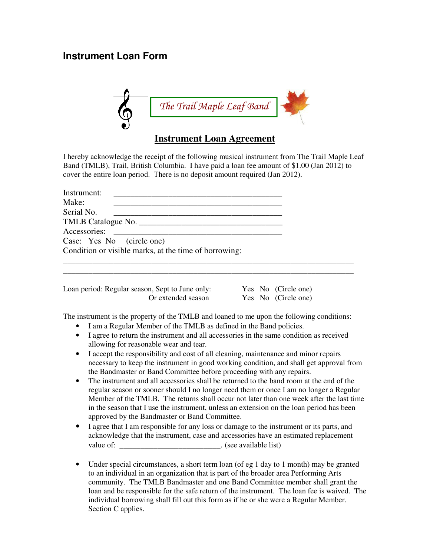## **Instrument Loan Form**



## **Instrument Loan Agreement**

I hereby acknowledge the receipt of the following musical instrument from The Trail Maple Leaf Band (TMLB), Trail, British Columbia. I have paid a loan fee amount of \$1.00 (Jan 2012) to cover the entire loan period. There is no deposit amount required (Jan 2012).

| Instrument:               |                                                                                                                                                                                                                                |  |
|---------------------------|--------------------------------------------------------------------------------------------------------------------------------------------------------------------------------------------------------------------------------|--|
| Make:                     |                                                                                                                                                                                                                                |  |
| Serial No.                |                                                                                                                                                                                                                                |  |
|                           | TMLB Catalogue No.                                                                                                                                                                                                             |  |
|                           | Accessories: 2000 and 2000 and 2000 and 2000 and 2000 and 2000 and 2000 and 2000 and 2000 and 2000 and 2000 and 2000 and 2000 and 2000 and 2000 and 2000 and 2000 and 2000 and 2000 and 2000 and 2000 and 2000 and 2000 and 20 |  |
| Case: Yes No (circle one) |                                                                                                                                                                                                                                |  |
|                           | Condition or visible marks, at the time of borrowing:                                                                                                                                                                          |  |
|                           |                                                                                                                                                                                                                                |  |

| Loan period: Regular season, Sept to June only: |  | Yes No (Circle one) |
|-------------------------------------------------|--|---------------------|
| Or extended season                              |  | Yes No (Circle one) |

The instrument is the property of the TMLB and loaned to me upon the following conditions:

\_\_\_\_\_\_\_\_\_\_\_\_\_\_\_\_\_\_\_\_\_\_\_\_\_\_\_\_\_\_\_\_\_\_\_\_\_\_\_\_\_\_\_\_\_\_\_\_\_\_\_\_\_\_\_\_\_\_\_\_\_\_\_\_\_\_\_\_\_

- I am a Regular Member of the TMLB as defined in the Band policies.
- I agree to return the instrument and all accessories in the same condition as received allowing for reasonable wear and tear.
- I accept the responsibility and cost of all cleaning, maintenance and minor repairs necessary to keep the instrument in good working condition, and shall get approval from the Bandmaster or Band Committee before proceeding with any repairs.
- The instrument and all accessories shall be returned to the band room at the end of the regular season or sooner should I no longer need them or once I am no longer a Regular Member of the TMLB. The returns shall occur not later than one week after the last time in the season that I use the instrument, unless an extension on the loan period has been approved by the Bandmaster or Band Committee.
- I agree that I am responsible for any loss or damage to the instrument or its parts, and acknowledge that the instrument, case and accessories have an estimated replacement value of:  $\qquad \qquad$  . (see available list)
- Under special circumstances, a short term loan (of eg 1 day to 1 month) may be granted to an individual in an organization that is part of the broader area Performing Arts community. The TMLB Bandmaster and one Band Committee member shall grant the loan and be responsible for the safe return of the instrument. The loan fee is waived. The individual borrowing shall fill out this form as if he or she were a Regular Member. Section C applies.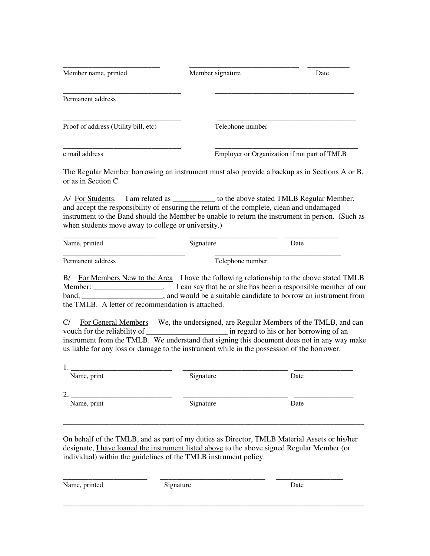|                                                                                                                                                                                                                                           | Member signature | Date                                                                                                                                                                                     |
|-------------------------------------------------------------------------------------------------------------------------------------------------------------------------------------------------------------------------------------------|------------------|------------------------------------------------------------------------------------------------------------------------------------------------------------------------------------------|
| Permanent address                                                                                                                                                                                                                         |                  |                                                                                                                                                                                          |
| Proof of address (Utility bill, etc)                                                                                                                                                                                                      | Telephone number |                                                                                                                                                                                          |
| e mail address                                                                                                                                                                                                                            |                  | Employer or Organization if not part of TMLB                                                                                                                                             |
| or as in Section C.                                                                                                                                                                                                                       |                  | The Regular Member borrowing an instrument must also provide a backup as in Sections A or B,                                                                                             |
| A/ For Students. I am related as ____________ to the above stated TMLB Regular Member,<br>and accept the responsibility of ensuring the return of the complete, clean and undamaged<br>when students move away to college or university.) |                  | instrument to the Band should the Member be unable to return the instrument in person. (Such as                                                                                          |
| Name, printed                                                                                                                                                                                                                             | Signature        | Date                                                                                                                                                                                     |
| Permanent address                                                                                                                                                                                                                         | Telephone number |                                                                                                                                                                                          |
| the TMLB. A letter of recommendation is attached.                                                                                                                                                                                         |                  | B/ For Members New to the Area I have the following relationship to the above stated TMLB<br>Member: ____________________. I can say that he or she has been a responsible member of our |
|                                                                                                                                                                                                                                           |                  |                                                                                                                                                                                          |
| C/<br>us liable for any loss or damage to the instrument while in the possession of the borrower.                                                                                                                                         |                  |                                                                                                                                                                                          |
| $1.$ $\_\_$                                                                                                                                                                                                                               |                  | For General Members We, the undersigned, are Regular Members of the TMLB, and can<br>instrument from the TMLB. We understand that signing this document does not in any way make         |
| Name, print                                                                                                                                                                                                                               | Signature        | Date                                                                                                                                                                                     |

On behalf of the TMLB, and as part of my duties as Director, TMLB Material Assets or his/her designate, I have loaned the instrument listed above to the above signed Regular Member (or individual) within the guidelines of the TMLB instrument policy.

\_\_\_\_\_\_\_\_\_\_\_\_\_\_\_\_\_\_\_\_ \_\_\_\_\_\_\_\_\_\_\_\_\_\_\_\_\_\_\_\_\_\_\_\_\_ \_\_\_\_\_\_\_\_\_\_\_\_\_\_\_\_ Name, printed Signature Date \_\_\_\_\_\_\_\_\_\_\_\_\_\_\_\_\_\_\_\_\_\_\_\_\_\_\_\_\_\_\_\_\_\_\_\_\_\_\_\_\_\_\_\_\_\_\_\_\_\_\_\_\_\_\_\_\_\_\_\_\_\_\_\_\_\_\_\_\_\_\_\_\_\_\_\_\_\_